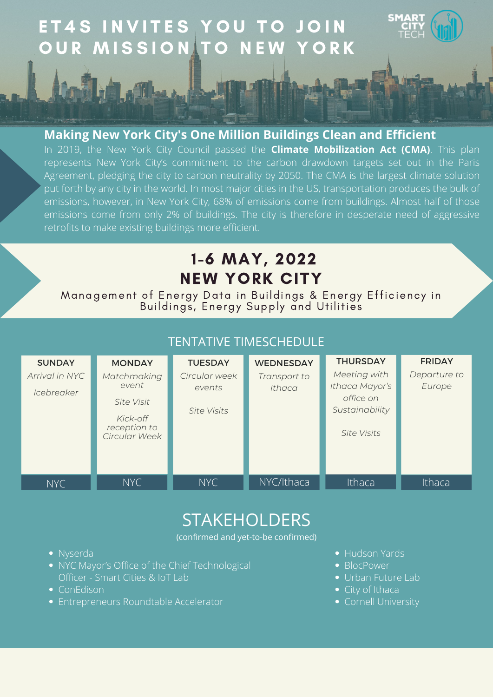## 1-6 MAY, 2022 NEW YORK CITY

Management of Energy Data in Buildings & Energy Efficiency in Buildings, Energy Supply and Utilities

FRIDAY

THURSDAY

# E T 4 S IN VITES YOU TO JOIN OUR MISSION TO NEW YORK

### **Making New York City's One Million Buildings Clean and Efficient**

| Arrival in NYC<br>Icebreaker | Matchmaking<br>event<br>Site Visit<br>Kick-off<br>reception to<br>Circular Week | Circular week<br>events<br>Site Visits | Transport to<br>Ithaca | Meeting with<br>Ithaca Mayor's<br>office on<br>Sustainability<br>Site Visits | Departure to<br>Europe |
|------------------------------|---------------------------------------------------------------------------------|----------------------------------------|------------------------|------------------------------------------------------------------------------|------------------------|
| NYC                          | NYC                                                                             | NYC                                    | NYC/Ithaca             | Ithaca                                                                       | Ithaca                 |

## **STAKEHOLDERS**

In 2019, the New York City Council passed the **Climate Mobilization Act (CMA)**. This plan represents New York City's commitment to the carbon drawdown targets set out in the Paris Agreement, pledging the city to carbon neutrality by 2050. The CMA is the largest climate solution put forth by any city in the world. In most major cities in the US, transportation produces the bulk of emissions, however, in New York City, 68% of emissions come from buildings. Almost half of those emissions come from only 2% of buildings. The city is therefore in desperate need of aggressive retrofits to make existing buildings more efficient.

### TENTATIVE TIMESCHEDULE

**SUNDAY** 

**MONDAY** 

**TUESDAY** 

**WEDNESDAY** 

(confirmed and yet-to-be confirmed)

- Nyserda
- . NYC Mayor's Office of the Chief Technological Officer - Smart Cities & IoT Lab
- ConEdison
- Entrepreneurs Roundtable Accelerator
- Hudson Yards
- BlocPower
- Urban Future Lab
- City of Ithaca
- Cornell University